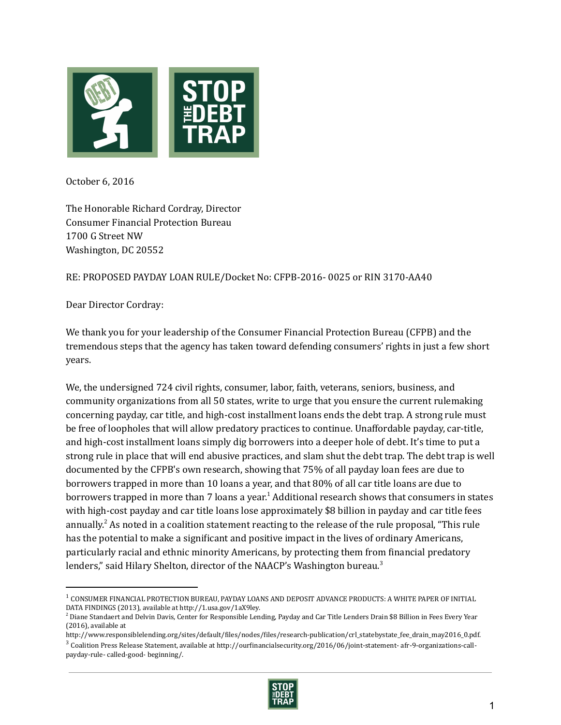

October 6, 2016

The Honorable Richard Cordray, Director Consumer Financial Protection Bureau 1700 G Street NW Washington, DC 20552

# RE: PROPOSED PAYDAY LOAN RULE/Docket No: CFPB‐2016‐ 0025 or RIN 3170‐AA40

Dear Director Cordray:

We thank you for your leadership of the Consumer Financial Protection Bureau (CFPB) and the tremendous steps that the agency has taken toward defending consumers' rights in just a few short years.

We, the undersigned 724 civil rights, consumer, labor, faith, veterans, seniors, business, and community organizations from all 50 states, write to urge that you ensure the current rulemaking concerning payday, car title, and high‐cost installment loans ends the debt trap. A strong rule must be free of loopholes that will allow predatory practices to continue. Unaffordable payday, car-title, and high-cost installment loans simply dig borrowers into a deeper hole of debt. It's time to put a strong rule in place that will end abusive practices, and slam shut the debt trap. The debt trap is well documented by the CFPB's own research, showing that 75% of all payday loan fees are due to borrowers trapped in more than 10 loans a year, and that 80% of all car title loans are due to borrowers trapped in more than 7 loans a year.<sup>1</sup> Additional research shows that consumers in states with high-cost payday and car title loans lose approximately \$8 billion in payday and car title fees annually.<sup>2</sup> As noted in a coalition statement reacting to the release of the rule proposal, "This rule has the potential to make a significant and positive impact in the lives of ordinary Americans, particularly racial and ethnic minority Americans, by protecting them from financial predatory lenders," said Hilary Shelton, director of the NAACP's Washington bureau.<sup>3</sup>

 $3$  Coalition Press Release Statement, available at http://ourfinancialsecurity.org/2016/06/joint-statement-afr-9-organizations-callpayday‐rule‐ called‐good‐ beginning/.



 $^{\rm 1}$  CONSUMER FINANCIAL PROTECTION BUREAU, PAYDAY LOANS AND DEPOSIT ADVANCE PRODUCTS: A WHITE PAPER OF INITIAL DATA FINDINGS (2013), available at http://1.usa.gov/1aX9ley.

 $^2$  Diane Standaert and Delvin Davis, Center for Responsible Lending, Payday and Car Title Lenders Drain \$8 Billion in Fees Every Year (2016), available at

http://www.responsiblelending.org/sites/default/files/nodes/files/research-publication/crl\_statebystate\_fee\_drain\_may2016\_0.pdf.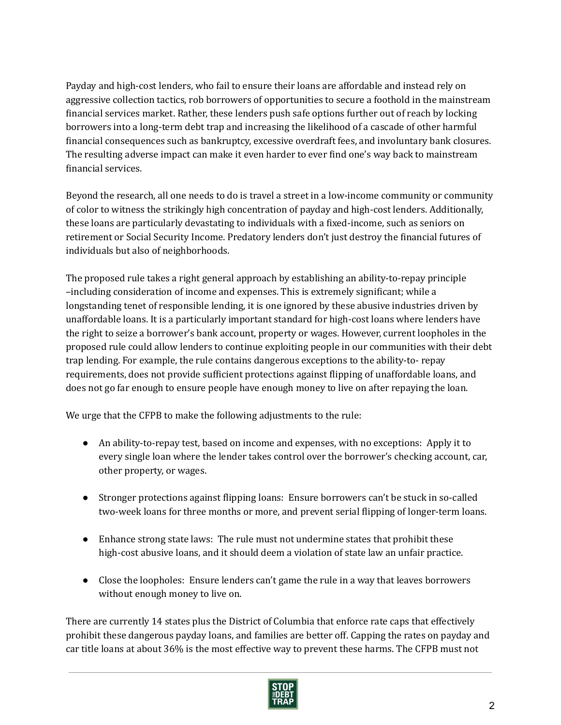Payday and high‐cost lenders, who fail to ensure their loans are affordable and instead rely on aggressive collection tactics, rob borrowers of opportunities to secure a foothold in the mainstream financial services market. Rather, these lenders push safe options further out of reach by locking borrowers into a long‐term debt trap and increasing the likelihood of a cascade of other harmful financial consequences such as bankruptcy, excessive overdraft fees, and involuntary bank closures. The resulting adverse impact can make it even harder to ever find one's way back to mainstream financial services.

Beyond the research, all one needs to do is travel a street in a low-income community or community of color to witness the strikingly high concentration of payday and high‐cost lenders. Additionally, these loans are particularly devastating to individuals with a fixed-income, such as seniors on retirement or Social Security Income. Predatory lenders don't just destroy the financial futures of individuals but also of neighborhoods.

The proposed rule takes a right general approach by establishing an ability-to-repay principle –including consideration of income and expenses. This is extremely significant; while a longstanding tenet of responsible lending, it is one ignored by these abusive industries driven by unaffordable loans. It is a particularly important standard for high‐cost loans where lenders have the right to seize a borrower's bank account, property or wages. However, current loopholes in the proposed rule could allow lenders to continue exploiting people in our communities with their debt trap lending. For example, the rule contains dangerous exceptions to the ability‐to‐ repay requirements, does not provide sufficient protections against flipping of unaffordable loans, and does not go far enough to ensure people have enough money to live on after repaying the loan.

We urge that the CFPB to make the following adjustments to the rule:

- An ability-to-repay test, based on income and expenses, with no exceptions: Apply it to every single loan where the lender takes control over the borrower's checking account, car, other property, or wages.
- Stronger protections against flipping loans: Ensure borrowers can't be stuck in so-called two-week loans for three months or more, and prevent serial flipping of longer-term loans.
- Enhance strong state laws: The rule must not undermine states that prohibit these high-cost abusive loans, and it should deem a violation of state law an unfair practice.
- Close the loopholes: Ensure lenders can't game the rule in a way that leaves borrowers without enough money to live on.

There are currently 14 states plus the District of Columbia that enforce rate caps that effectively prohibit these dangerous payday loans, and families are better off. Capping the rates on payday and car title loans at about 36% is the most effective way to prevent these harms. The CFPB must not

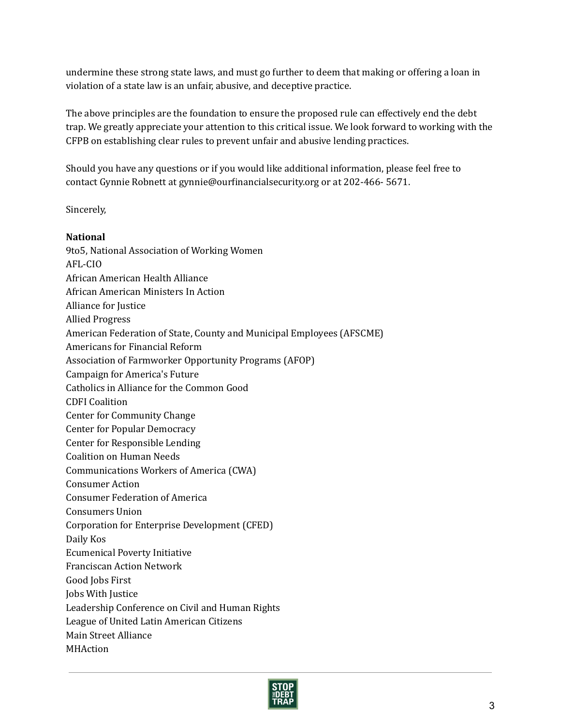undermine these strong state laws, and must go further to deem that making or offering a loan in violation of a state law is an unfair, abusive, and deceptive practice.

The above principles are the foundation to ensure the proposed rule can effectively end the debt trap. We greatly appreciate your attention to this critical issue. We look forward to working with the CFPB on establishing clear rules to prevent unfair and abusive lending practices.

Should you have any questions or if you would like additional information, please feel free to contact Gynnie Robnett at gynnie@ourfinancialsecurity.org or at 202-466-5671.

## Sincerely,

## National

9to5, National Association of Working Women AFL‐CIO African American Health Alliance African American Ministers In Action Alliance for Justice Allied Progress American Federation of State, County and Municipal Employees (AFSCME) Americans for Financial Reform Association of Farmworker Opportunity Programs (AFOP) Campaign for America's Future Catholics in Alliance for the Common Good CDFI Coalition Center for Community Change Center for Popular Democracy Center for Responsible Lending Coalition on Human Needs Communications Workers of America (CWA) Consumer Action Consumer Federation of America Consumers Union Corporation for Enterprise Development (CFED) Daily Kos Ecumenical Poverty Initiative Franciscan Action Network Good Jobs First Jobs With Justice Leadership Conference on Civil and Human Rights League of United Latin American Citizens Main Street Alliance **MHAction** 

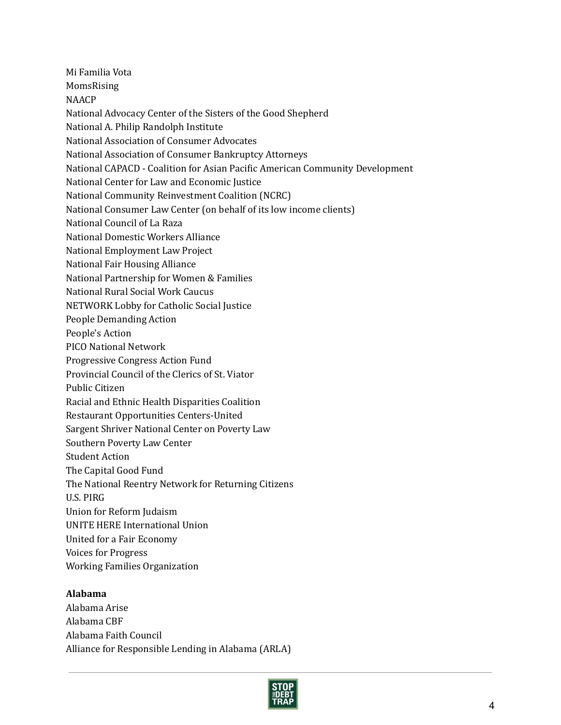Mi Familia Vota MomsRising NAACP National Advocacy Center of the Sisters of the Good Shepherd National A. Philip Randolph Institute National Association of Consumer Advocates National Association of Consumer Bankruptcy Attorneys National CAPACD - Coalition for Asian Pacific American Community Development National Center for Law and Economic Justice National Community Reinvestment Coalition (NCRC) National Consumer Law Center (on behalf of its low income clients) National Council of La Raza National Domestic Workers Alliance National Employment Law Project National Fair Housing Alliance National Partnership for Women & Families National Rural Social Work Caucus NETWORK Lobby for Catholic Social Justice People Demanding Action People's Action PICO National Network Progressive Congress Action Fund Provincial Council of the Clerics of St. Viator Public Citizen Racial and Ethnic Health Disparities Coalition Restaurant Opportunities Centers‐United Sargent Shriver National Center on Poverty Law Southern Poverty Law Center Student Action The Capital Good Fund The National Reentry Network for Returning Citizens U.S. PIRG Union for Reform Judaism UNITE HERE International Union United for a Fair Economy Voices for Progress Working Families Organization

# Alabama

Alabama Arise Alabama CBF Alabama Faith Council Alliance for Responsible Lending in Alabama (ARLA)

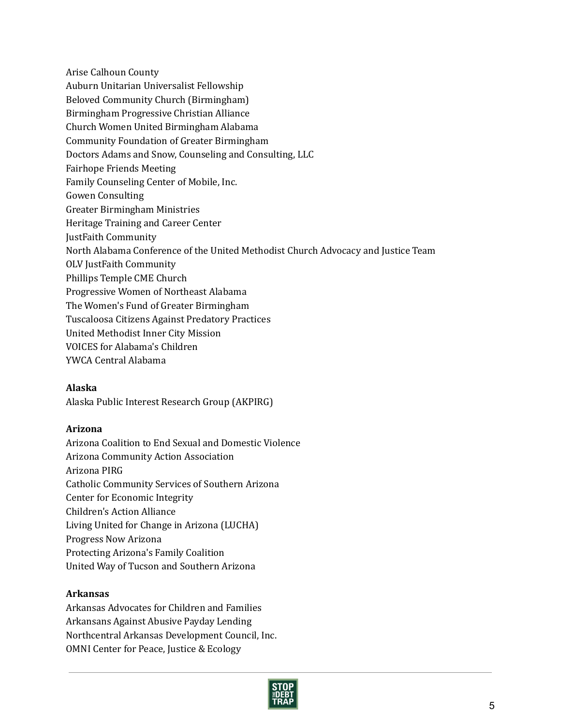Arise Calhoun County Auburn Unitarian Universalist Fellowship Beloved Community Church (Birmingham) Birmingham Progressive Christian Alliance Church Women United Birmingham Alabama Community Foundation of Greater Birmingham Doctors Adams and Snow, Counseling and Consulting, LLC Fairhope Friends Meeting Family Counseling Center of Mobile, Inc. Gowen Consulting Greater Birmingham Ministries Heritage Training and Career Center JustFaith Community North Alabama Conference of the United Methodist Church Advocacy and Justice Team OLV JustFaith Community Phillips Temple CME Church Progressive Women of Northeast Alabama The Women's Fund of Greater Birmingham Tuscaloosa Citizens Against Predatory Practices United Methodist Inner City Mission VOICES for Alabama's Children YWCA Central Alabama

## Alaska

Alaska Public Interest Research Group (AKPIRG)

## Arizona

Arizona Coalition to End Sexual and Domestic Violence Arizona Community Action Association Arizona PIRG Catholic Community Services of Southern Arizona Center for Economic Integrity Children's Action Alliance Living United for Change in Arizona (LUCHA) Progress Now Arizona Protecting Arizona's Family Coalition United Way of Tucson and Southern Arizona

## Arkansas

Arkansas Advocates for Children and Families Arkansans Against Abusive Payday Lending Northcentral Arkansas Development Council, Inc. OMNI Center for Peace, Justice & Ecology

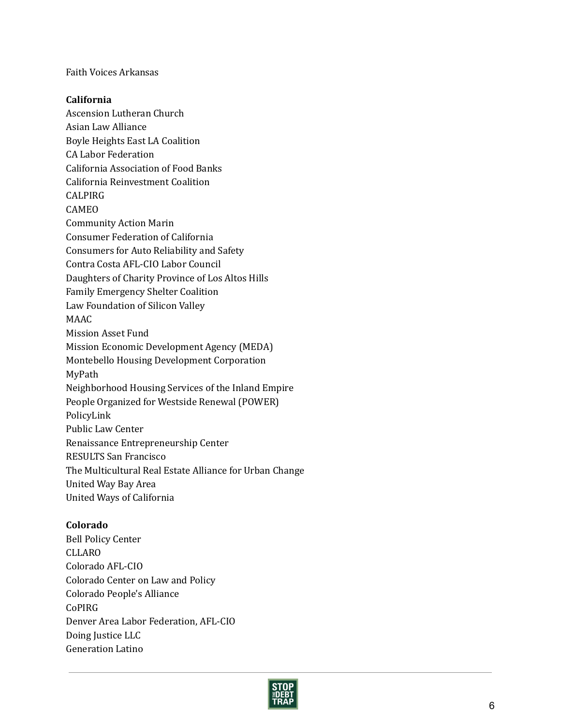Faith Voices Arkansas

### California

Ascension Lutheran Church Asian Law Alliance Boyle Heights East LA Coalition CA Labor Federation California Association of Food Banks California Reinvestment Coalition CALPIRG CAMEO Community Action Marin Consumer Federation of California Consumers for Auto Reliability and Safety Contra Costa AFL‐CIO Labor Council Daughters of Charity Province of Los Altos Hills Family Emergency Shelter Coalition Law Foundation of Silicon Valley MAAC Mission Asset Fund Mission Economic Development Agency (MEDA) Montebello Housing Development Corporation MyPath Neighborhood Housing Services of the Inland Empire People Organized for Westside Renewal (POWER) PolicyLink Public Law Center Renaissance Entrepreneurship Center RESULTS San Francisco The Multicultural Real Estate Alliance for Urban Change United Way Bay Area United Ways of California

## Colorado

Bell Policy Center CLLARO Colorado AFL‐CIO Colorado Center on Law and Policy Colorado People's Alliance CoPIRG Denver Area Labor Federation, AFL‐CIO Doing Justice LLC Generation Latino

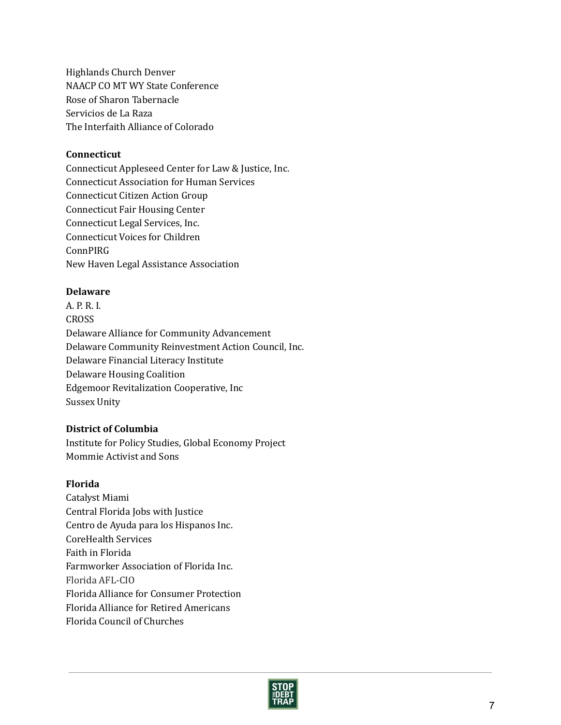Highlands Church Denver NAACP CO MT WY State Conference Rose of Sharon Tabernacle Servicios de La Raza The Interfaith Alliance of Colorado

### Connecticut

Connecticut Appleseed Center for Law & Justice, Inc. Connecticut Association for Human Services Connecticut Citizen Action Group Connecticut Fair Housing Center Connecticut Legal Services, Inc. Connecticut Voices for Children ConnPIRG New Haven Legal Assistance Association

## Delaware

A. P. R. I. CROSS Delaware Alliance for Community Advancement Delaware Community Reinvestment Action Council, Inc. Delaware Financial Literacy Institute Delaware Housing Coalition Edgemoor Revitalization Cooperative, Inc Sussex Unity

## District of Columbia

Institute for Policy Studies, Global Economy Project Mommie Activist and Sons

#### Florida

Catalyst Miami Central Florida Jobs with Justice Centro de Ayuda para los Hispanos Inc. CoreHealth Services Faith in Florida Farmworker Association of Florida Inc. Florida AFL‐CIO Florida Alliance for Consumer Protection Florida Alliance for Retired Americans Florida Council of Churches

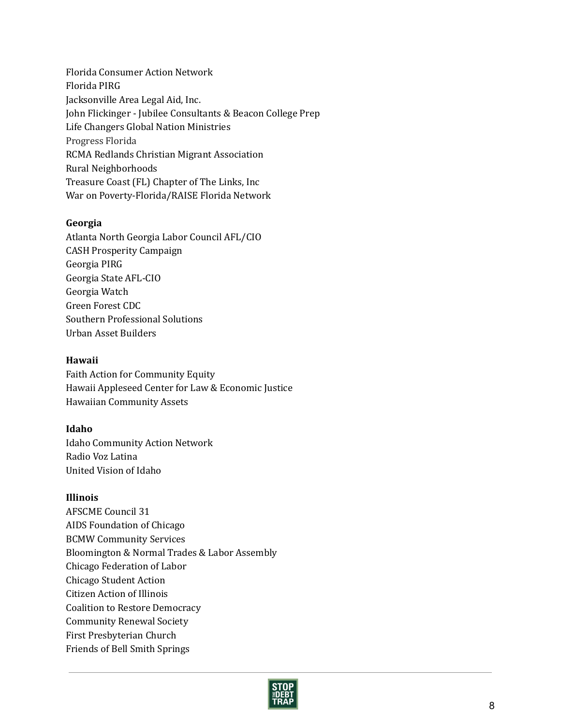Florida Consumer Action Network Florida PIRG Jacksonville Area Legal Aid, Inc. John Flickinger ‐ Jubilee Consultants & Beacon College Prep Life Changers Global Nation Ministries Progress Florida RCMA Redlands Christian Migrant Association Rural Neighborhoods Treasure Coast (FL) Chapter of The Links, Inc War on Poverty‐Florida/RAISE Florida Network

## Georgia

Atlanta North Georgia Labor Council AFL/CIO CASH Prosperity Campaign Georgia PIRG Georgia State AFL‐CIO Georgia Watch Green Forest CDC Southern Professional Solutions Urban Asset Builders

### Hawaii

Faith Action for Community Equity Hawaii Appleseed Center for Law & Economic Justice Hawaiian Community Assets

### Idaho

Idaho Community Action Network Radio Voz Latina United Vision of Idaho

## Illinois

AFSCME Council 31 AIDS Foundation of Chicago BCMW Community Services Bloomington & Normal Trades & Labor Assembly Chicago Federation of Labor Chicago Student Action Citizen Action of Illinois Coalition to Restore Democracy Community Renewal Society First Presbyterian Church Friends of Bell Smith Springs

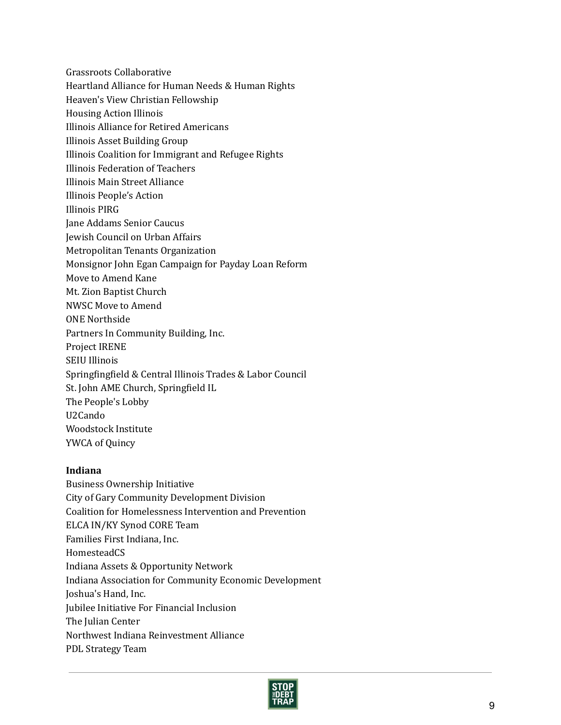Grassroots Collaborative

- Heartland Alliance for Human Needs & Human Rights
- Heaven's View Christian Fellowship
- Housing Action Illinois
- Illinois Alliance for Retired Americans
- Illinois Asset Building Group
- Illinois Coalition for Immigrant and Refugee Rights
- Illinois Federation of Teachers
- Illinois Main Street Alliance
- Illinois People's Action
- Illinois PIRG
- Jane Addams Senior Caucus
- Jewish Council on Urban Affairs
- Metropolitan Tenants Organization
- Monsignor John Egan Campaign for Payday Loan Reform
- Move to Amend Kane
- Mt. Zion Baptist Church
- NWSC Move to Amend
- ONE Northside
- Partners In Community Building, Inc.
- Project IRENE
- SEIU Illinois
- Springfingfield & Central Illinois Trades & Labor Council
- St. John AME Church, Springfield IL
- The People's Lobby
- U2Cando
- Woodstock Institute
- YWCA of Quincy

# Indiana

Business Ownership Initiative City of Gary Community Development Division Coalition for Homelessness Intervention and Prevention ELCA IN/KY Synod CORE Team Families First Indiana, Inc. HomesteadCS Indiana Assets & Opportunity Network Indiana Association for Community Economic Development Joshua's Hand, Inc. Jubilee Initiative For Financial Inclusion The Julian Center Northwest Indiana Reinvestment Alliance PDL Strategy Team

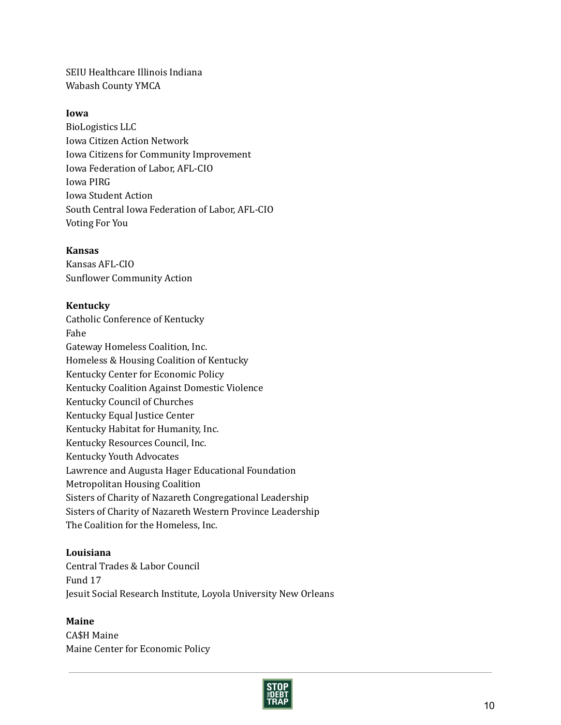SEIU Healthcare Illinois Indiana Wabash County YMCA

## Iowa

BioLogistics LLC Iowa Citizen Action Network Iowa Citizens for Community Improvement Iowa Federation of Labor, AFL‐CIO Iowa PIRG Iowa Student Action South Central Iowa Federation of Labor, AFL‐CIO Voting For You

### Kansas

Kansas AFL‐CIO Sunflower Community Action

### Kentucky

Catholic Conference of Kentucky Fahe Gateway Homeless Coalition, Inc. Homeless & Housing Coalition of Kentucky Kentucky Center for Economic Policy Kentucky Coalition Against Domestic Violence Kentucky Council of Churches Kentucky Equal Justice Center Kentucky Habitat for Humanity, Inc. Kentucky Resources Council, Inc. Kentucky Youth Advocates Lawrence and Augusta Hager Educational Foundation Metropolitan Housing Coalition Sisters of Charity of Nazareth Congregational Leadership Sisters of Charity of Nazareth Western Province Leadership The Coalition for the Homeless, Inc.

### Louisiana

Central Trades & Labor Council Fund 17 Jesuit Social Research Institute, Loyola University New Orleans

## Maine

CA\$H Maine Maine Center for Economic Policy

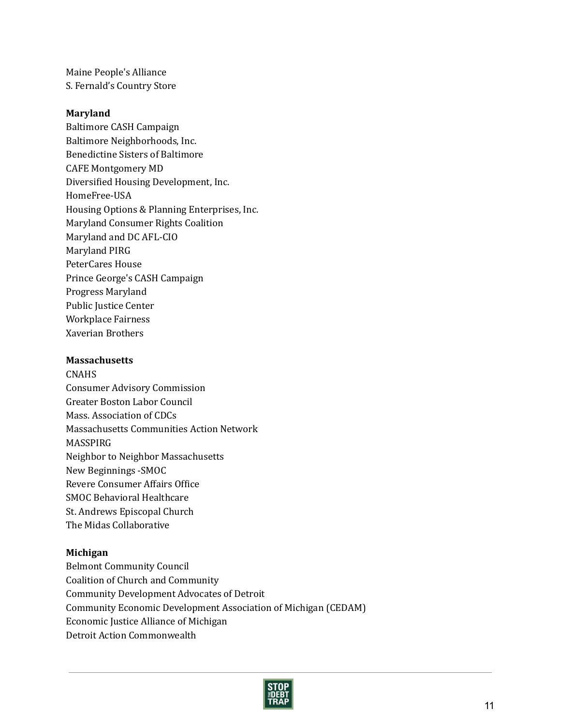Maine People's Alliance S. Fernald's Country Store

### Maryland

Baltimore CASH Campaign Baltimore Neighborhoods, Inc. Benedictine Sisters of Baltimore CAFE Montgomery MD Diversified Housing Development, Inc. HomeFree‐USA Housing Options & Planning Enterprises, Inc. Maryland Consumer Rights Coalition Maryland and DC AFL‐CIO Maryland PIRG PeterCares House Prince George's CASH Campaign Progress Maryland Public Justice Center Workplace Fairness Xaverian Brothers

#### **Massachusetts**

CNAHS Consumer Advisory Commission Greater Boston Labor Council Mass. Association of CDCs Massachusetts Communities Action Network MASSPIRG Neighbor to Neighbor Massachusetts New Beginnings ‐SMOC Revere Consumer Affairs Office SMOC Behavioral Healthcare St. Andrews Episcopal Church The Midas Collaborative

#### Michigan

Belmont Community Council Coalition of Church and Community Community Development Advocates of Detroit Community Economic Development Association of Michigan (CEDAM) Economic Justice Alliance of Michigan Detroit Action Commonwealth

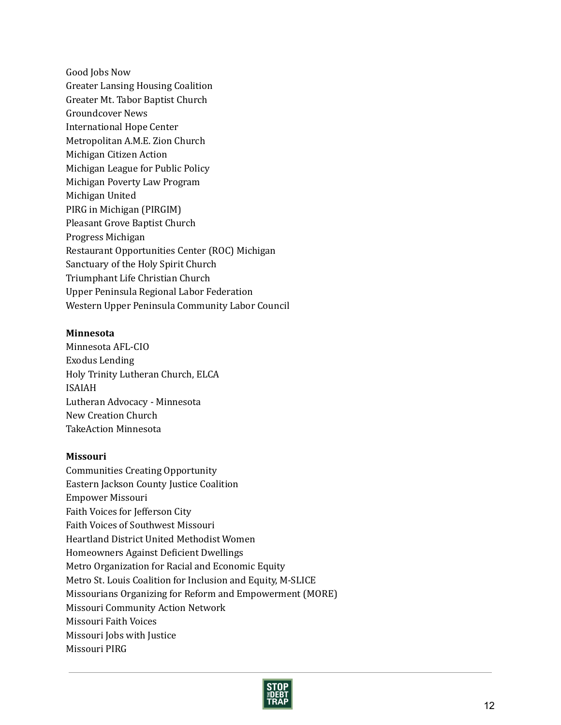Good Jobs Now Greater Lansing Housing Coalition Greater Mt. Tabor Baptist Church Groundcover News International Hope Center Metropolitan A.M.E. Zion Church Michigan Citizen Action Michigan League for Public Policy Michigan Poverty Law Program Michigan United PIRG in Michigan (PIRGIM) Pleasant Grove Baptist Church Progress Michigan Restaurant Opportunities Center (ROC) Michigan Sanctuary of the Holy Spirit Church Triumphant Life Christian Church Upper Peninsula Regional Labor Federation Western Upper Peninsula Community Labor Council

### Minnesota

Minnesota AFL‐CIO Exodus Lending Holy Trinity Lutheran Church, ELCA ISAIAH Lutheran Advocacy ‐ Minnesota New Creation Church TakeAction Minnesota

#### Missouri

Communities Creating Opportunity Eastern Jackson County Justice Coalition Empower Missouri Faith Voices for Jefferson City Faith Voices of Southwest Missouri Heartland District United Methodist Women Homeowners Against Deficient Dwellings Metro Organization for Racial and Economic Equity Metro St. Louis Coalition for Inclusion and Equity, M‐SLICE Missourians Organizing for Reform and Empowerment (MORE) Missouri Community Action Network Missouri Faith Voices Missouri Jobs with Justice Missouri PIRG

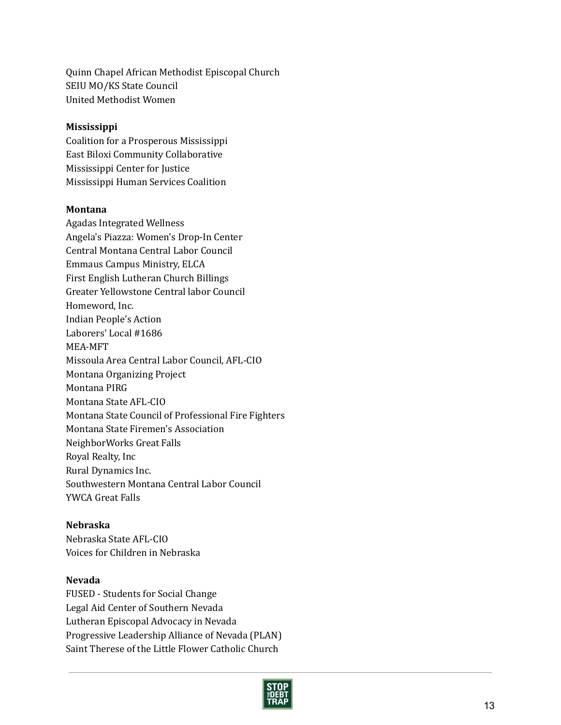Quinn Chapel African Methodist Episcopal Church SEIU MO/KS State Council United Methodist Women

## Mississippi

Coalition for a Prosperous Mississippi East Biloxi Community Collaborative Mississippi Center for Justice Mississippi Human Services Coalition

## Montana

Agadas Integrated Wellness Angela's Piazza: Women's Drop‐In Center Central Montana Central Labor Council Emmaus Campus Ministry, ELCA First English Lutheran Church Billings Greater Yellowstone Central labor Council Homeword, Inc. Indian People's Action Laborers' Local #1686 MEA‐MFT Missoula Area Central Labor Council, AFL‐CIO Montana Organizing Project Montana PIRG Montana State AFL‐CIO Montana State Council of Professional Fire Fighters Montana State Firemen's Association NeighborWorks Great Falls Royal Realty, Inc Rural Dynamics Inc. Southwestern Montana Central Labor Council YWCA Great Falls

# Nebraska

Nebraska State AFL‐CIO Voices for Children in Nebraska

# Nevada

FUSED ‐ Students for Social Change Legal Aid Center of Southern Nevada Lutheran Episcopal Advocacy in Nevada Progressive Leadership Alliance of Nevada (PLAN) Saint Therese of the Little Flower Catholic Church

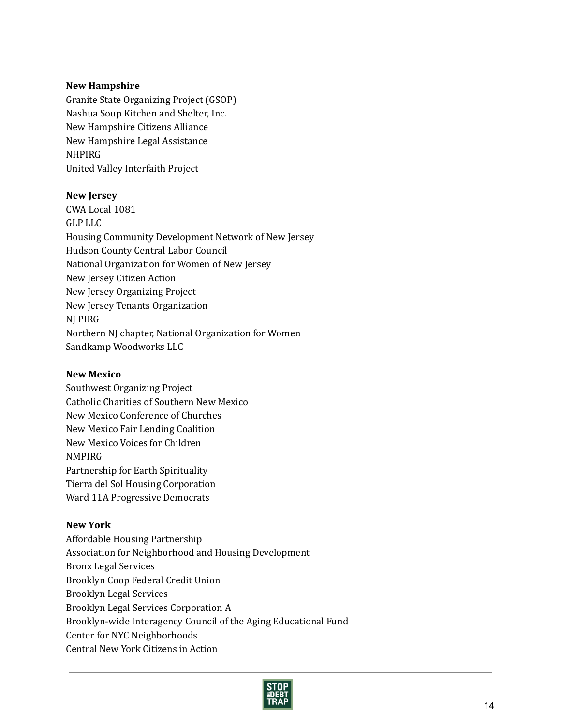### New Hampshire

Granite State Organizing Project (GSOP) Nashua Soup Kitchen and Shelter, Inc. New Hampshire Citizens Alliance New Hampshire Legal Assistance NHPIRG United Valley Interfaith Project

### New Jersey

CWA Local 1081 GLP LLC Housing Community Development Network of New Jersey Hudson County Central Labor Council National Organization for Women of New Jersey New Jersey Citizen Action New Jersey Organizing Project New Jersey Tenants Organization NJ PIRG Northern NJ chapter, National Organization for Women Sandkamp Woodworks LLC

#### New Mexico

Southwest Organizing Project Catholic Charities of Southern New Mexico New Mexico Conference of Churches New Mexico Fair Lending Coalition New Mexico Voices for Children NMPIRG Partnership for Earth Spirituality Tierra del Sol Housing Corporation Ward 11A Progressive Democrats

## New York

Affordable Housing Partnership Association for Neighborhood and Housing Development Bronx Legal Services Brooklyn Coop Federal Credit Union Brooklyn Legal Services Brooklyn Legal Services Corporation A Brooklyn‐wide Interagency Council of the Aging Educational Fund Center for NYC Neighborhoods Central New York Citizens in Action

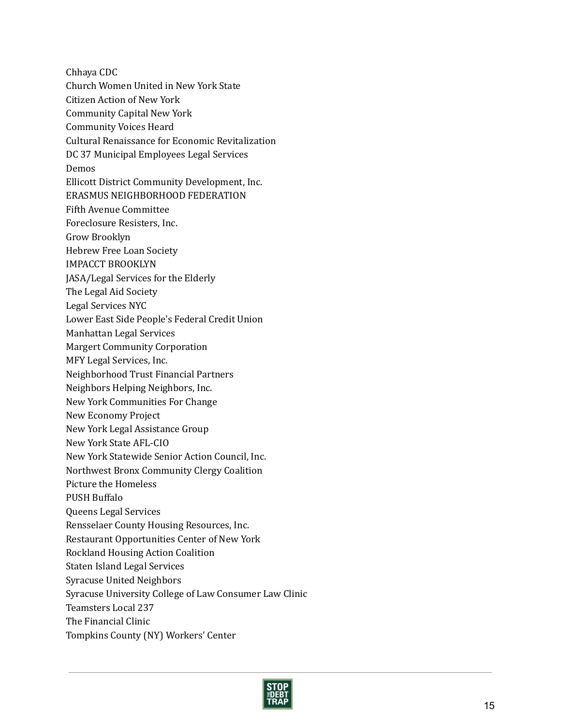Chhaya CDC Church Women United in New York State Citizen Action of New York Community Capital New York Community Voices Heard Cultural Renaissance for Economic Revitalization DC 37 Municipal Employees Legal Services **Demos** Ellicott District Community Development, Inc. ERASMUS NEIGHBORHOOD FEDERATION Fifth Avenue Committee Foreclosure Resisters, Inc. Grow Brooklyn Hebrew Free Loan Society IMPACCT BROOKLYN JASA/Legal Services for the Elderly The Legal Aid Society Legal Services NYC Lower East Side People's Federal Credit Union Manhattan Legal Services Margert Community Corporation MFY Legal Services, Inc. Neighborhood Trust Financial Partners Neighbors Helping Neighbors, Inc. New York Communities For Change New Economy Project New York Legal Assistance Group New York State AFL‐CIO New York Statewide Senior Action Council, Inc. Northwest Bronx Community Clergy Coalition Picture the Homeless PUSH Buffalo Queens Legal Services Rensselaer County Housing Resources, Inc. Restaurant Opportunities Center of New York Rockland Housing Action Coalition Staten Island Legal Services Syracuse United Neighbors Syracuse University College of Law Consumer Law Clinic Teamsters Local 237 The Financial Clinic Tompkins County (NY) Workers' Center

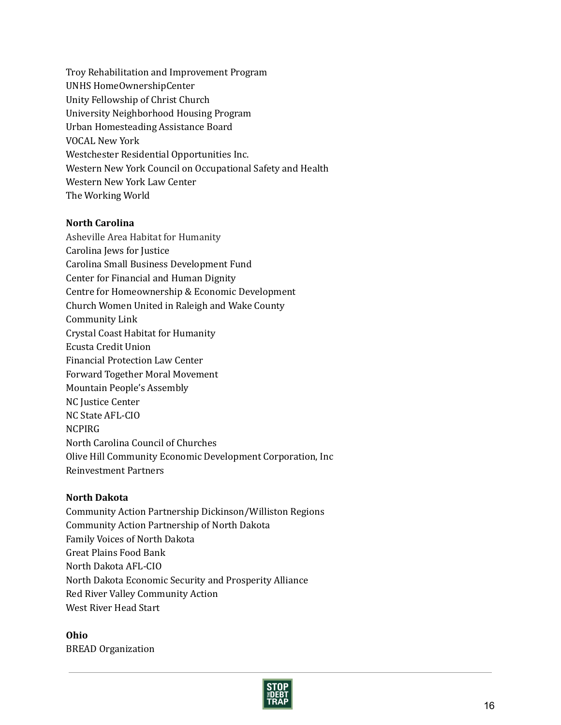Troy Rehabilitation and Improvement Program UNHS HomeOwnershipCenter Unity Fellowship of Christ Church University Neighborhood Housing Program Urban Homesteading Assistance Board VOCAL New York Westchester Residential Opportunities Inc. Western New York Council on Occupational Safety and Health Western New York Law Center The Working World

## North Carolina

Asheville Area Habitat for Humanity Carolina Jews for Justice Carolina Small Business Development Fund Center for Financial and Human Dignity Centre for Homeownership & Economic Development Church Women United in Raleigh and Wake County Community Link Crystal Coast Habitat for Humanity Ecusta Credit Union Financial Protection Law Center Forward Together Moral Movement Mountain People's Assembly NC Justice Center NC State AFL‐CIO **NCPIRG** North Carolina Council of Churches Olive Hill Community Economic Development Corporation, Inc Reinvestment Partners

## North Dakota

Community Action Partnership Dickinson/Williston Regions Community Action Partnership of North Dakota Family Voices of North Dakota Great Plains Food Bank North Dakota AFL‐CIO North Dakota Economic Security and Prosperity Alliance Red River Valley Community Action West River Head Start

Ohio BREAD Organization

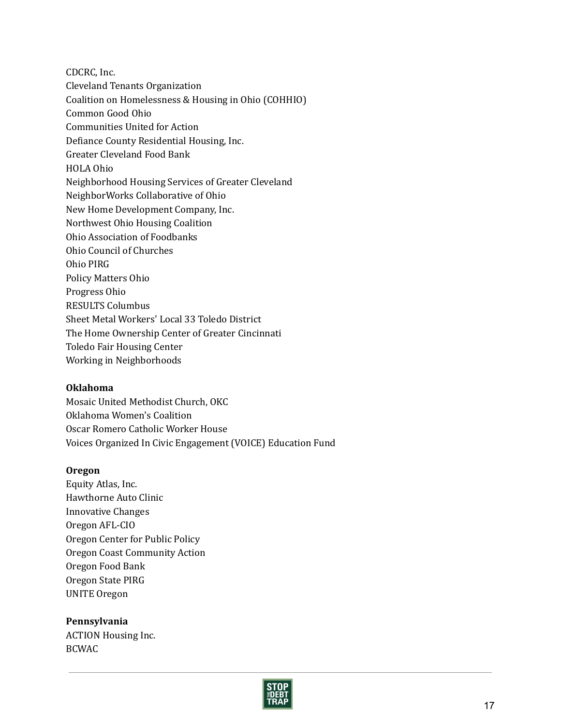CDCRC, Inc. Cleveland Tenants Organization Coalition on Homelessness & Housing in Ohio (COHHIO) Common Good Ohio Communities United for Action Defiance County Residential Housing, Inc. Greater Cleveland Food Bank HOLA Ohio Neighborhood Housing Services of Greater Cleveland NeighborWorks Collaborative of Ohio New Home Development Company, Inc. Northwest Ohio Housing Coalition Ohio Association of Foodbanks Ohio Council of Churches Ohio PIRG Policy Matters Ohio Progress Ohio RESULTS Columbus Sheet Metal Workers' Local 33 Toledo District The Home Ownership Center of Greater Cincinnati Toledo Fair Housing Center Working in Neighborhoods

## Oklahoma

Mosaic United Methodist Church, OKC Oklahoma Women's Coalition Oscar Romero Catholic Worker House Voices Organized In Civic Engagement (VOICE) Education Fund

## Oregon

Equity Atlas, Inc. Hawthorne Auto Clinic Innovative Changes Oregon AFL‐CIO Oregon Center for Public Policy Oregon Coast Community Action Oregon Food Bank Oregon State PIRG UNITE Oregon

Pennsylvania ACTION Housing Inc. BCWAC

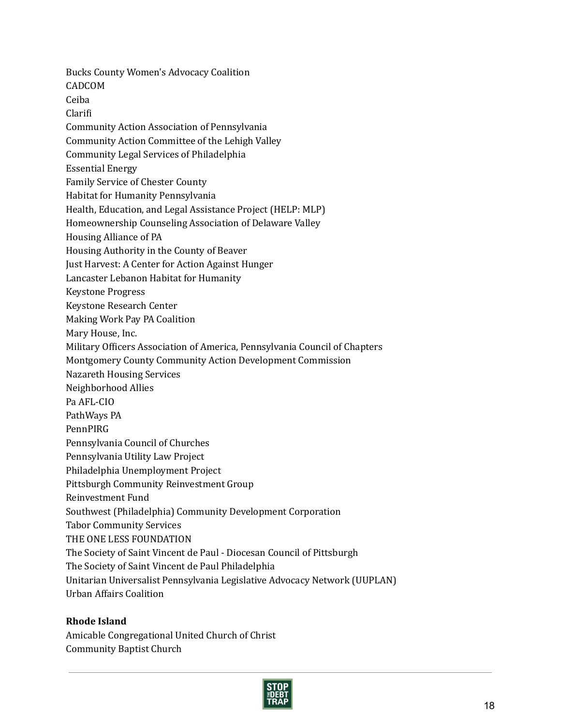Bucks County Women's Advocacy Coalition CADCOM Ceiba Clarifi Community Action Association of Pennsylvania Community Action Committee of the Lehigh Valley Community Legal Services of Philadelphia Essential Energy Family Service of Chester County Habitat for Humanity Pennsylvania Health, Education, and Legal Assistance Project (HELP: MLP) Homeownership Counseling Association of Delaware Valley Housing Alliance of PA Housing Authority in the County of Beaver Just Harvest: A Center for Action Against Hunger Lancaster Lebanon Habitat for Humanity Keystone Progress Keystone Research Center Making Work Pay PA Coalition Mary House, Inc. Military Officers Association of America, Pennsylvania Council of Chapters Montgomery County Community Action Development Commission Nazareth Housing Services Neighborhood Allies Pa AFL‐CIO PathWays PA PennPIRG Pennsylvania Council of Churches Pennsylvania Utility Law Project Philadelphia Unemployment Project Pittsburgh Community Reinvestment Group Reinvestment Fund Southwest (Philadelphia) Community Development Corporation Tabor Community Services THE ONE LESS FOUNDATION The Society of Saint Vincent de Paul ‐ Diocesan Council of Pittsburgh The Society of Saint Vincent de Paul Philadelphia Unitarian Universalist Pennsylvania Legislative Advocacy Network (UUPLAN) Urban Affairs Coalition

## Rhode Island

Amicable Congregational United Church of Christ Community Baptist Church

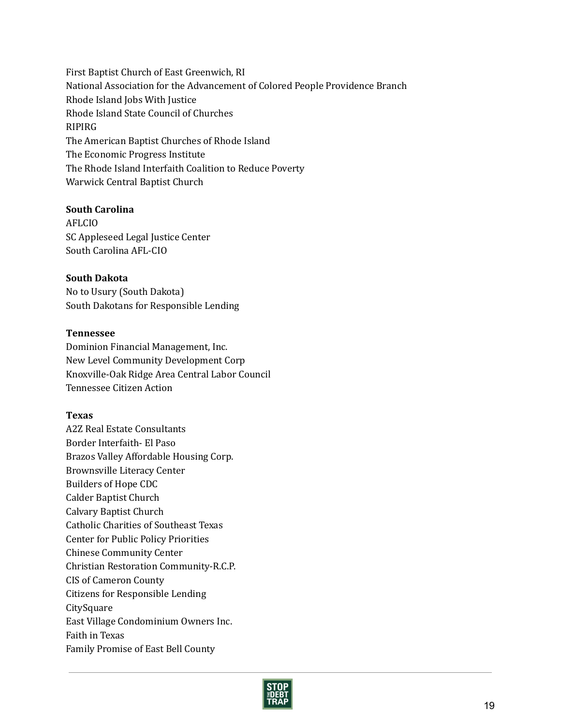First Baptist Church of East Greenwich, RI National Association for the Advancement of Colored People Providence Branch Rhode Island Jobs With Justice Rhode Island State Council of Churches RIPIRG The American Baptist Churches of Rhode Island The Economic Progress Institute The Rhode Island Interfaith Coalition to Reduce Poverty Warwick Central Baptist Church

## South Carolina

AFLCIO SC Appleseed Legal Justice Center South Carolina AFL‐CIO

### South Dakota

No to Usury (South Dakota) South Dakotans for Responsible Lending

### Tennessee

Dominion Financial Management, Inc. New Level Community Development Corp Knoxville‐Oak Ridge Area Central Labor Council Tennessee Citizen Action

## Texas

A2Z Real Estate Consultants Border Interfaith‐ El Paso Brazos Valley Affordable Housing Corp. Brownsville Literacy Center Builders of Hope CDC Calder Baptist Church Calvary Baptist Church Catholic Charities of Southeast Texas Center for Public Policy Priorities Chinese Community Center Christian Restoration Community‐R.C.P. CIS of Cameron County Citizens for Responsible Lending CitySquare East Village Condominium Owners Inc. Faith in Texas Family Promise of East Bell County

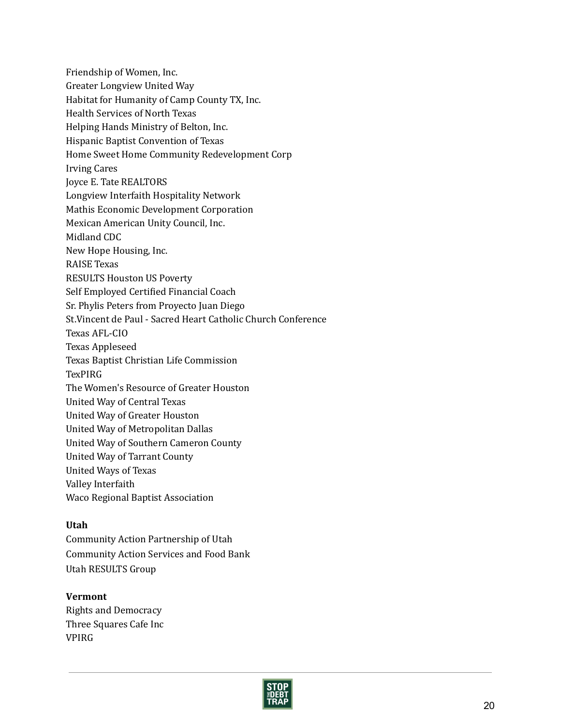Friendship of Women, Inc. Greater Longview United Way Habitat for Humanity of Camp County TX, Inc. Health Services of North Texas Helping Hands Ministry of Belton, Inc. Hispanic Baptist Convention of Texas Home Sweet Home Community Redevelopment Corp Irving Cares Joyce E. Tate REALTORS Longview Interfaith Hospitality Network Mathis Economic Development Corporation Mexican American Unity Council, Inc. Midland CDC New Hope Housing, Inc. RAISE Texas RESULTS Houston US Poverty Self Employed Certified Financial Coach Sr. Phylis Peters from Proyecto Juan Diego St.Vincent de Paul ‐ Sacred Heart Catholic Church Conference Texas AFL‐CIO Texas Appleseed Texas Baptist Christian Life Commission **TexPIRG** The Women's Resource of Greater Houston United Way of Central Texas United Way of Greater Houston United Way of Metropolitan Dallas United Way of Southern Cameron County United Way of Tarrant County United Ways of Texas Valley Interfaith Waco Regional Baptist Association

## Utah

Community Action Partnership of Utah Community Action Services and Food Bank Utah RESULTS Group

# Vermont

Rights and Democracy Three Squares Cafe Inc VPIRG

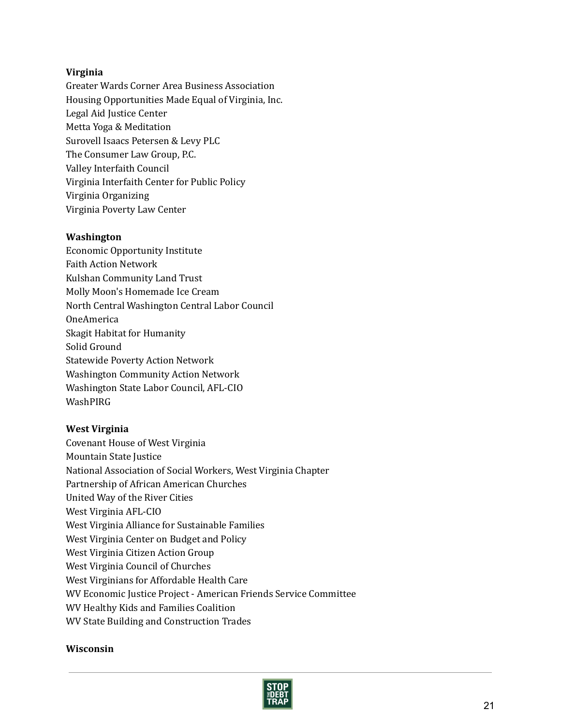## Virginia

Greater Wards Corner Area Business Association Housing Opportunities Made Equal of Virginia, Inc. Legal Aid Justice Center Metta Yoga & Meditation Surovell Isaacs Petersen & Levy PLC The Consumer Law Group, P.C. Valley Interfaith Council Virginia Interfaith Center for Public Policy Virginia Organizing Virginia Poverty Law Center

## Washington

Economic Opportunity Institute Faith Action Network Kulshan Community Land Trust Molly Moon's Homemade Ice Cream North Central Washington Central Labor Council OneAmerica Skagit Habitat for Humanity Solid Ground Statewide Poverty Action Network Washington Community Action Network Washington State Labor Council, AFL‐CIO WashPIRG

## West Virginia

Covenant House of West Virginia Mountain State Justice National Association of Social Workers, West Virginia Chapter Partnership of African American Churches United Way of the River Cities West Virginia AFL‐CIO West Virginia Alliance for Sustainable Families West Virginia Center on Budget and Policy West Virginia Citizen Action Group West Virginia Council of Churches West Virginians for Affordable Health Care WV Economic Justice Project ‐ American Friends Service Committee WV Healthy Kids and Families Coalition WV State Building and Construction Trades

## Wisconsin